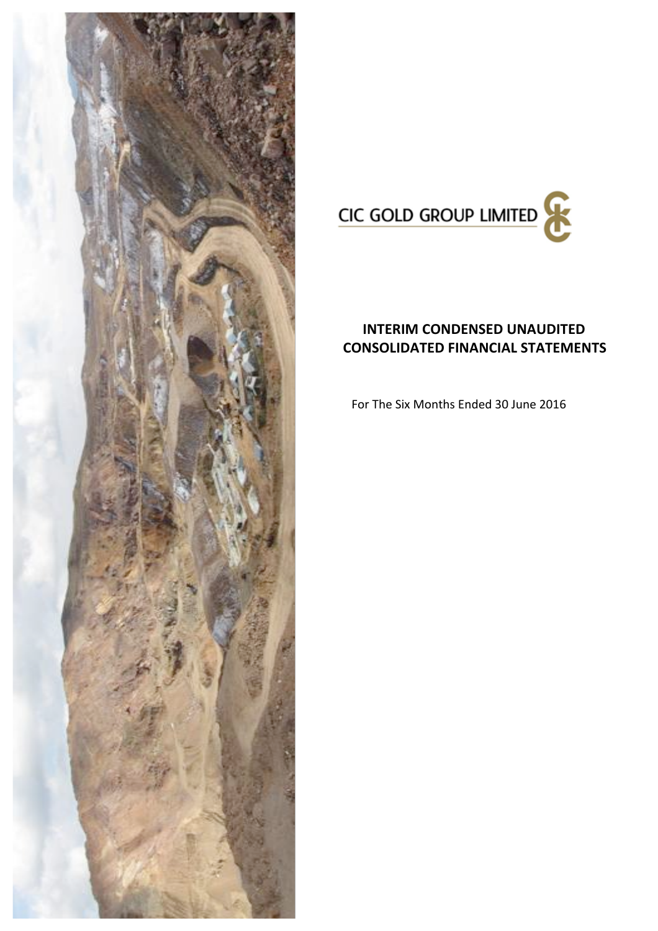



# **INTERIM CONDENSED UNAUDITED CONSOLIDATED FINANCIAL STATEMENTS**

For The Six Months Ended 30 June 2016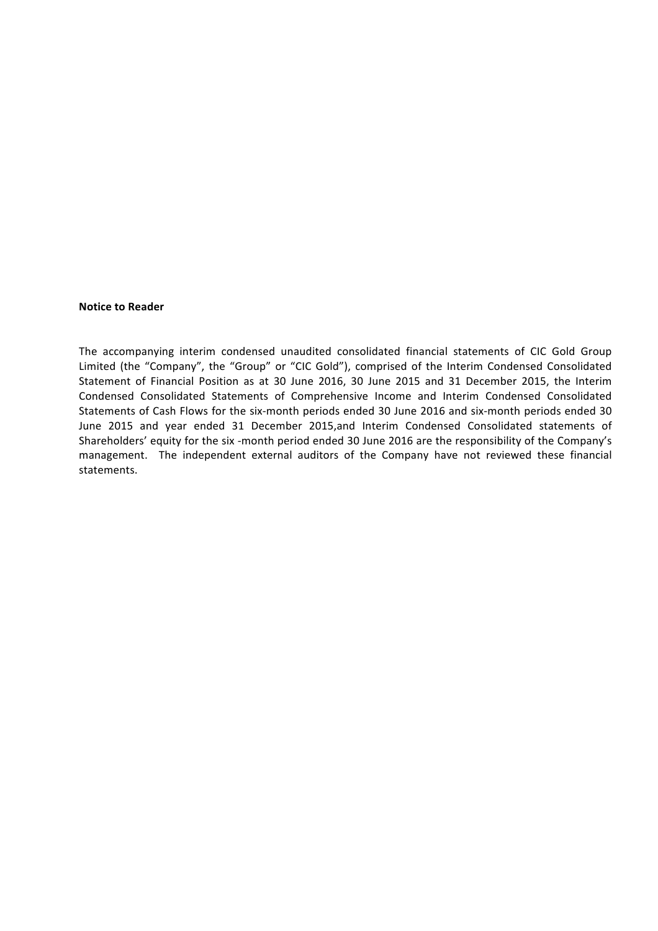## **Notice to Reader**

The accompanying interim condensed unaudited consolidated financial statements of CIC Gold Group Limited (the "Company", the "Group" or "CIC Gold"), comprised of the Interim Condensed Consolidated Statement of Financial Position as at 30 June 2016, 30 June 2015 and 31 December 2015, the Interim Condensed Consolidated Statements of Comprehensive Income and Interim Condensed Consolidated Statements of Cash Flows for the six-month periods ended 30 June 2016 and six-month periods ended 30 June 2015 and year ended 31 December 2015,and Interim Condensed Consolidated statements of Shareholders' equity for the six -month period ended 30 June 2016 are the responsibility of the Company's management. The independent external auditors of the Company have not reviewed these financial statements.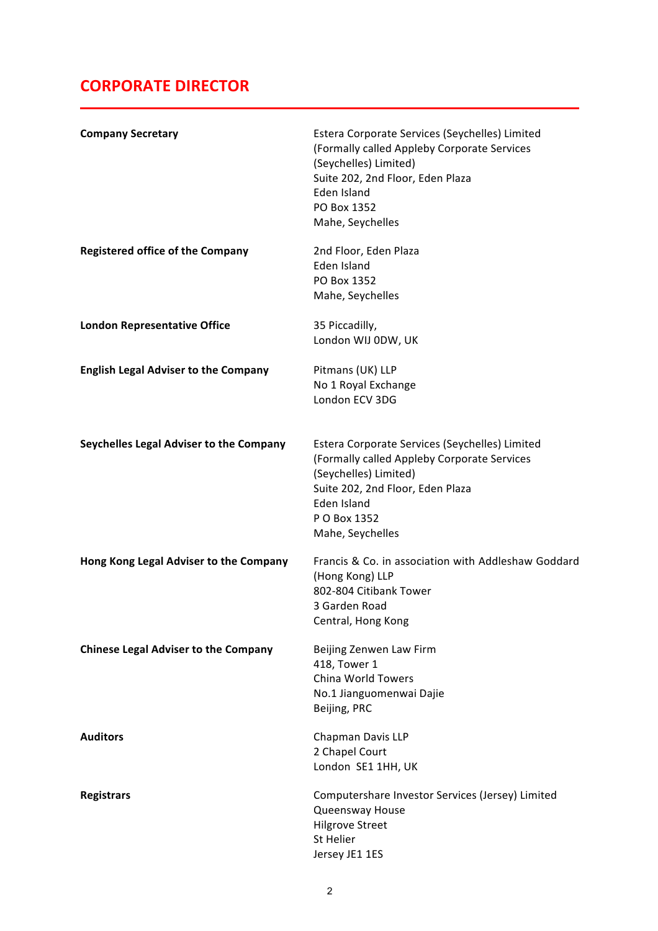# **CORPORATE DIRECTOR**

| <b>Company Secretary</b>                    | Estera Corporate Services (Seychelles) Limited<br>(Formally called Appleby Corporate Services<br>(Seychelles) Limited)<br>Suite 202, 2nd Floor, Eden Plaza<br>Eden Island<br>PO Box 1352<br>Mahe, Seychelles  |
|---------------------------------------------|---------------------------------------------------------------------------------------------------------------------------------------------------------------------------------------------------------------|
| <b>Registered office of the Company</b>     | 2nd Floor, Eden Plaza<br>Eden Island<br>PO Box 1352<br>Mahe, Seychelles                                                                                                                                       |
| <b>London Representative Office</b>         | 35 Piccadilly,<br>London WIJ 0DW, UK                                                                                                                                                                          |
| <b>English Legal Adviser to the Company</b> | Pitmans (UK) LLP<br>No 1 Royal Exchange<br>London ECV 3DG                                                                                                                                                     |
| Seychelles Legal Adviser to the Company     | Estera Corporate Services (Seychelles) Limited<br>(Formally called Appleby Corporate Services<br>(Seychelles) Limited)<br>Suite 202, 2nd Floor, Eden Plaza<br>Eden Island<br>P O Box 1352<br>Mahe, Seychelles |
| Hong Kong Legal Adviser to the Company      | Francis & Co. in association with Addleshaw Goddard<br>(Hong Kong) LLP<br>802-804 Citibank Tower<br>3 Garden Road<br>Central, Hong Kong                                                                       |
| <b>Chinese Legal Adviser to the Company</b> | Beijing Zenwen Law Firm<br>418, Tower 1<br>China World Towers<br>No.1 Jianguomenwai Dajie<br>Beijing, PRC                                                                                                     |
| <b>Auditors</b>                             | Chapman Davis LLP<br>2 Chapel Court<br>London SE1 1HH, UK                                                                                                                                                     |
| <b>Registrars</b>                           | Computershare Investor Services (Jersey) Limited<br>Queensway House<br><b>Hilgrove Street</b><br>St Helier<br>Jersey JE1 1ES                                                                                  |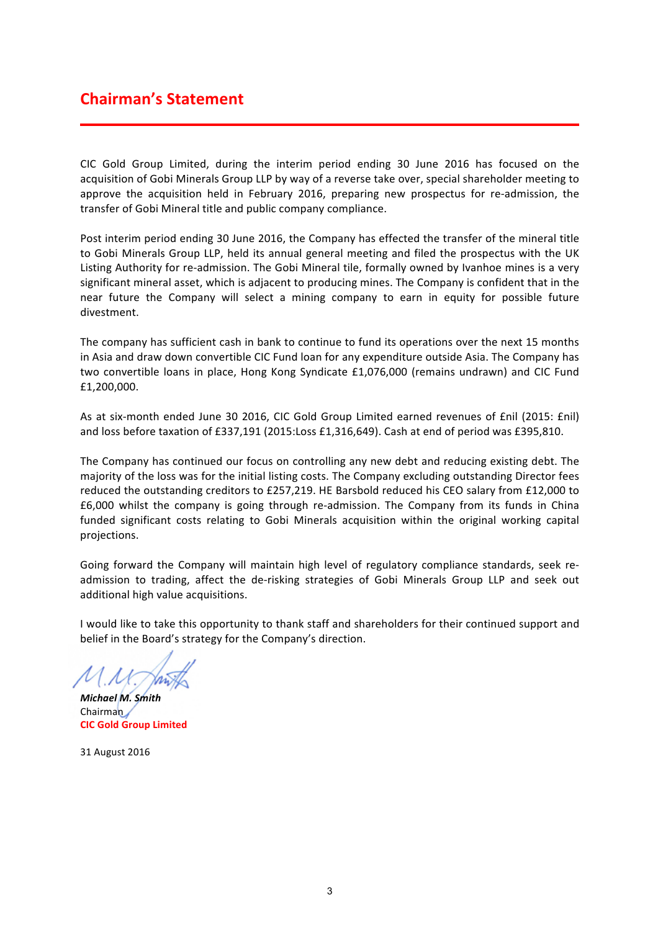# **Chairman's Statement**

CIC Gold Group Limited, during the interim period ending 30 June 2016 has focused on the acquisition of Gobi Minerals Group LLP by way of a reverse take over, special shareholder meeting to approve the acquisition held in February 2016, preparing new prospectus for re-admission, the transfer of Gobi Mineral title and public company compliance.

Post interim period ending 30 June 2016, the Company has effected the transfer of the mineral title to Gobi Minerals Group LLP, held its annual general meeting and filed the prospectus with the UK Listing Authority for re-admission. The Gobi Mineral tile, formally owned by Ivanhoe mines is a very significant mineral asset, which is adjacent to producing mines. The Company is confident that in the near future the Company will select a mining company to earn in equity for possible future divestment.

The company has sufficient cash in bank to continue to fund its operations over the next 15 months in Asia and draw down convertible CIC Fund loan for any expenditure outside Asia. The Company has two convertible loans in place, Hong Kong Syndicate £1,076,000 (remains undrawn) and CIC Fund £1,200,000.

As at six-month ended June 30 2016, CIC Gold Group Limited earned revenues of £nil (2015: £nil) and loss before taxation of £337,191 (2015:Loss £1,316,649). Cash at end of period was £395,810.

The Company has continued our focus on controlling any new debt and reducing existing debt. The majority of the loss was for the initial listing costs. The Company excluding outstanding Director fees reduced the outstanding creditors to £257,219. HE Barsbold reduced his CEO salary from £12,000 to £6,000 whilst the company is going through re-admission. The Company from its funds in China funded significant costs relating to Gobi Minerals acquisition within the original working capital projections.

Going forward the Company will maintain high level of regulatory compliance standards, seek readmission to trading, affect the de-risking strategies of Gobi Minerals Group LLP and seek out additional high value acquisitions.

I would like to take this opportunity to thank staff and shareholders for their continued support and belief in the Board's strategy for the Company's direction.

*Michael M. Smith* Chairman **CIC Gold Group Limited**

31 August 2016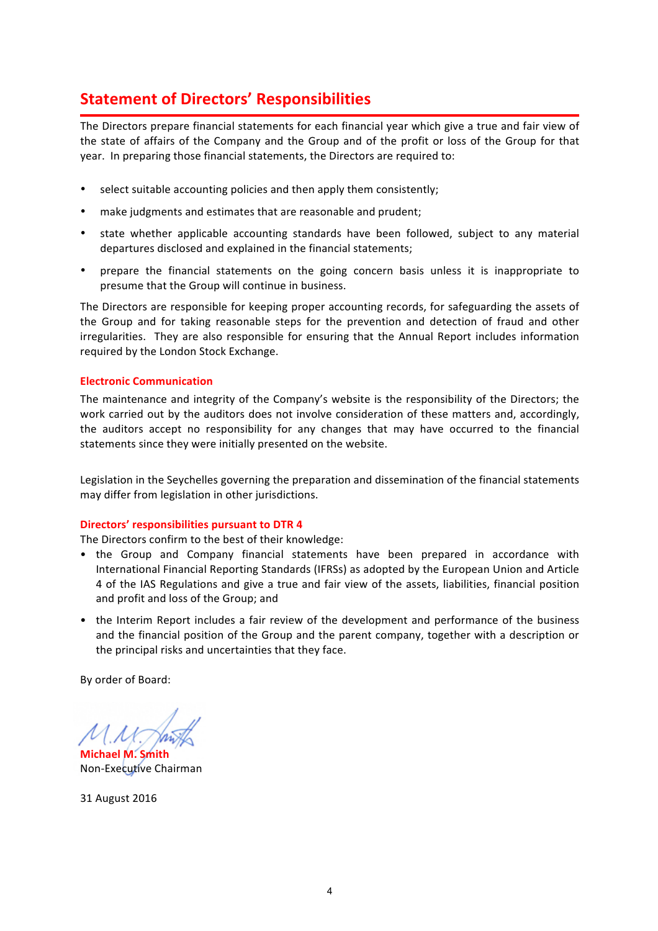# **Statement of Directors' Responsibilities**

The Directors prepare financial statements for each financial year which give a true and fair view of the state of affairs of the Company and the Group and of the profit or loss of the Group for that year. In preparing those financial statements, the Directors are required to:

- select suitable accounting policies and then apply them consistently;
- make judgments and estimates that are reasonable and prudent;
- state whether applicable accounting standards have been followed, subject to any material departures disclosed and explained in the financial statements;
- prepare the financial statements on the going concern basis unless it is inappropriate to presume that the Group will continue in business.

The Directors are responsible for keeping proper accounting records, for safeguarding the assets of the Group and for taking reasonable steps for the prevention and detection of fraud and other irregularities. They are also responsible for ensuring that the Annual Report includes information required by the London Stock Exchange.

## **Electronic Communication**

The maintenance and integrity of the Company's website is the responsibility of the Directors; the work carried out by the auditors does not involve consideration of these matters and, accordingly, the auditors accept no responsibility for any changes that may have occurred to the financial statements since they were initially presented on the website.

Legislation in the Seychelles governing the preparation and dissemination of the financial statements may differ from legislation in other jurisdictions.

## **Directors' responsibilities pursuant to DTR 4**

The Directors confirm to the best of their knowledge:

- the Group and Company financial statements have been prepared in accordance with International Financial Reporting Standards (IFRSs) as adopted by the European Union and Article 4 of the IAS Regulations and give a true and fair view of the assets, liabilities, financial position and profit and loss of the Group; and
- the Interim Report includes a fair review of the development and performance of the business and the financial position of the Group and the parent company, together with a description or the principal risks and uncertainties that they face.

By order of Board:

**Michael M. Smith** Non-Executive Chairman

31 August 2016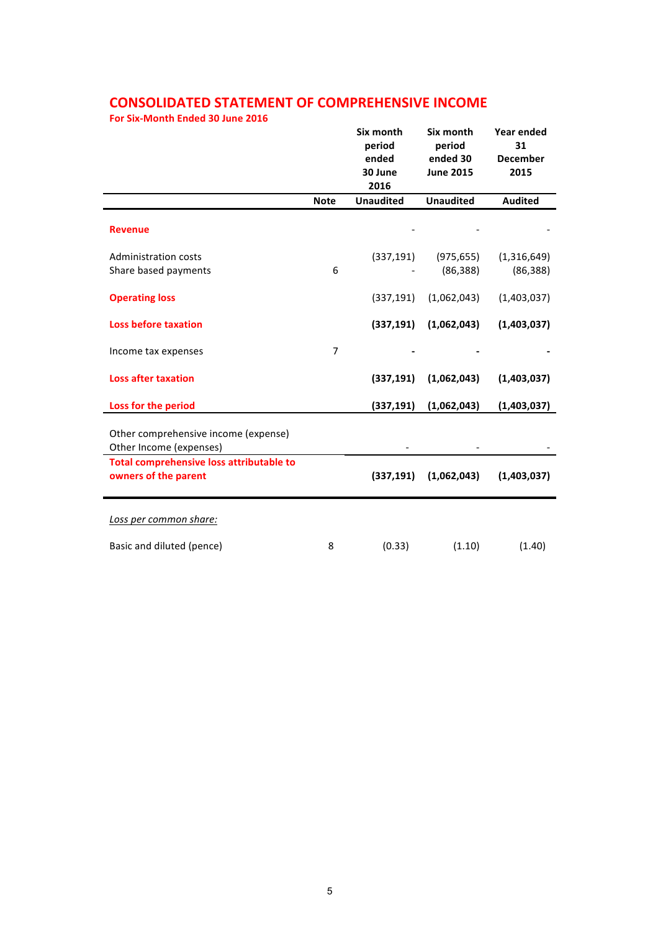# **CONSOLIDATED STATEMENT OF COMPREHENSIVE INCOME**

**For Six-Month Ended 30 June 2016** 

|                                                                  |                | Six month<br>period<br>ended<br>30 June<br>2016 | Six month<br>period<br>ended 30<br><b>June 2015</b> | <b>Year ended</b><br>31<br><b>December</b><br>2015 |
|------------------------------------------------------------------|----------------|-------------------------------------------------|-----------------------------------------------------|----------------------------------------------------|
|                                                                  | <b>Note</b>    | <b>Unaudited</b>                                | <b>Unaudited</b>                                    | <b>Audited</b>                                     |
| <b>Revenue</b>                                                   |                |                                                 |                                                     |                                                    |
| <b>Administration costs</b>                                      |                | (337, 191)                                      | (975, 655)                                          | (1,316,649)                                        |
| Share based payments                                             | 6              |                                                 | (86, 388)                                           | (86, 388)                                          |
| <b>Operating loss</b>                                            |                | (337, 191)                                      | (1,062,043)                                         | (1,403,037)                                        |
| <b>Loss before taxation</b>                                      |                | (337, 191)                                      | (1,062,043)                                         | (1,403,037)                                        |
| Income tax expenses                                              | $\overline{7}$ |                                                 |                                                     |                                                    |
| <b>Loss after taxation</b>                                       |                | (337, 191)                                      | (1,062,043)                                         | (1,403,037)                                        |
| Loss for the period                                              |                | (337, 191)                                      | (1,062,043)                                         | (1,403,037)                                        |
| Other comprehensive income (expense)<br>Other Income (expenses)  |                |                                                 |                                                     |                                                    |
| Total comprehensive loss attributable to<br>owners of the parent |                | (337, 191)                                      | (1,062,043)                                         | (1,403,037)                                        |
| Loss per common share:                                           |                |                                                 |                                                     |                                                    |
| Basic and diluted (pence)                                        | 8              | (0.33)                                          | (1.10)                                              | (1.40)                                             |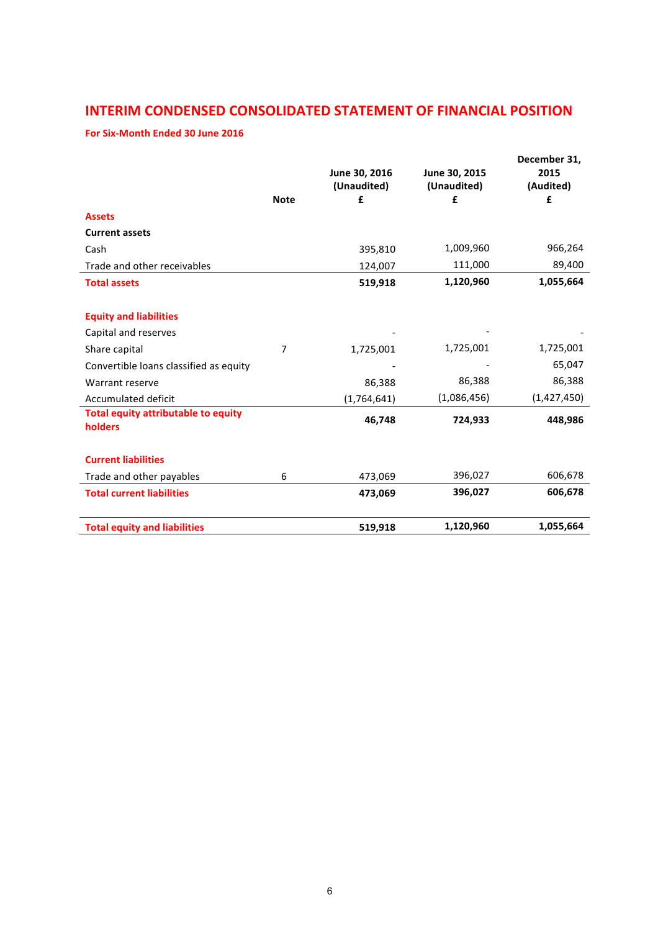# **INTERIM CONDENSED CONSOLIDATED STATEMENT OF FINANCIAL POSITION**

## For Six-Month Ended 30 June 2016

|                                                       | <b>Note</b> | June 30, 2016<br>(Unaudited)<br>£ | June 30, 2015<br>(Unaudited)<br>£ | December 31,<br>2015<br>(Audited)<br>£ |
|-------------------------------------------------------|-------------|-----------------------------------|-----------------------------------|----------------------------------------|
| <b>Assets</b>                                         |             |                                   |                                   |                                        |
| <b>Current assets</b>                                 |             |                                   |                                   |                                        |
| Cash                                                  |             | 395,810                           | 1,009,960                         | 966,264                                |
| Trade and other receivables                           |             | 124,007                           | 111,000                           | 89,400                                 |
| <b>Total assets</b>                                   |             | 519,918                           | 1,120,960                         | 1,055,664                              |
| <b>Equity and liabilities</b>                         |             |                                   |                                   |                                        |
| Capital and reserves                                  |             |                                   |                                   |                                        |
| Share capital                                         | 7           | 1,725,001                         | 1,725,001                         | 1,725,001                              |
| Convertible loans classified as equity                |             |                                   |                                   | 65,047                                 |
| Warrant reserve                                       |             | 86,388                            | 86,388                            | 86,388                                 |
| <b>Accumulated deficit</b>                            |             | (1,764,641)                       | (1,086,456)                       | (1,427,450)                            |
| <b>Total equity attributable to equity</b><br>holders |             | 46,748                            | 724,933                           | 448,986                                |
| <b>Current liabilities</b>                            |             |                                   |                                   |                                        |
| Trade and other payables                              | 6           | 473,069                           | 396,027                           | 606,678                                |
| <b>Total current liabilities</b>                      |             | 473,069                           | 396,027                           | 606,678                                |
| <b>Total equity and liabilities</b>                   |             | 519,918                           | 1,120,960                         | 1,055,664                              |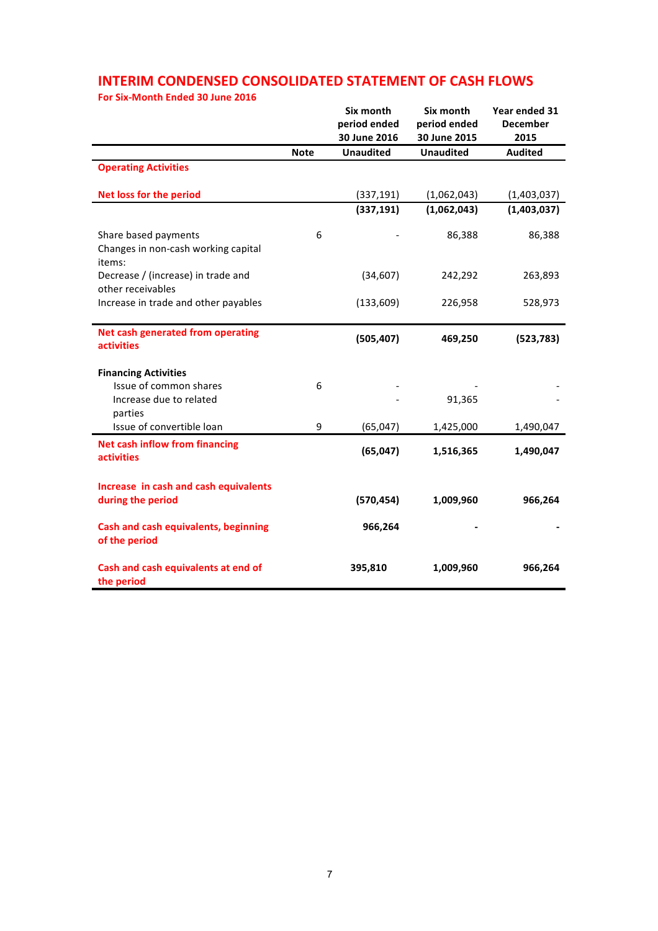# **INTERIM CONDENSED CONSOLIDATED STATEMENT OF CASH FLOWS**

**For Six-Month Ended 30 June 2016** 

|                                                                       |             | Six month<br>period ended<br>30 June 2016 | Six month<br>period ended<br>30 June 2015 | Year ended 31<br><b>December</b><br>2015 |
|-----------------------------------------------------------------------|-------------|-------------------------------------------|-------------------------------------------|------------------------------------------|
|                                                                       | <b>Note</b> | <b>Unaudited</b>                          | <b>Unaudited</b>                          | <b>Audited</b>                           |
| <b>Operating Activities</b>                                           |             |                                           |                                           |                                          |
| <b>Net loss for the period</b>                                        |             | (337, 191)                                | (1,062,043)                               | (1,403,037)                              |
|                                                                       |             | (337, 191)                                | (1,062,043)                               | (1,403,037)                              |
| Share based payments<br>Changes in non-cash working capital<br>items: | 6           |                                           | 86,388                                    | 86,388                                   |
| Decrease / (increase) in trade and<br>other receivables               |             | (34, 607)                                 | 242,292                                   | 263,893                                  |
| Increase in trade and other payables                                  |             | (133, 609)                                | 226,958                                   | 528,973                                  |
| Net cash generated from operating<br><b>activities</b>                |             | (505, 407)                                | 469,250                                   | (523, 783)                               |
| <b>Financing Activities</b>                                           |             |                                           |                                           |                                          |
| Issue of common shares<br>Increase due to related<br>parties          | 6           |                                           | 91,365                                    |                                          |
| Issue of convertible loan                                             | 9           | (65, 047)                                 | 1,425,000                                 | 1,490,047                                |
| <b>Net cash inflow from financing</b><br><b>activities</b>            |             | (65, 047)                                 | 1,516,365                                 | 1,490,047                                |
| Increase in cash and cash equivalents<br>during the period            |             | (570, 454)                                | 1,009,960                                 | 966,264                                  |
| <b>Cash and cash equivalents, beginning</b><br>of the period          |             | 966,264                                   |                                           |                                          |
| Cash and cash equivalents at end of<br>the period                     |             | 395,810                                   | 1,009,960                                 | 966,264                                  |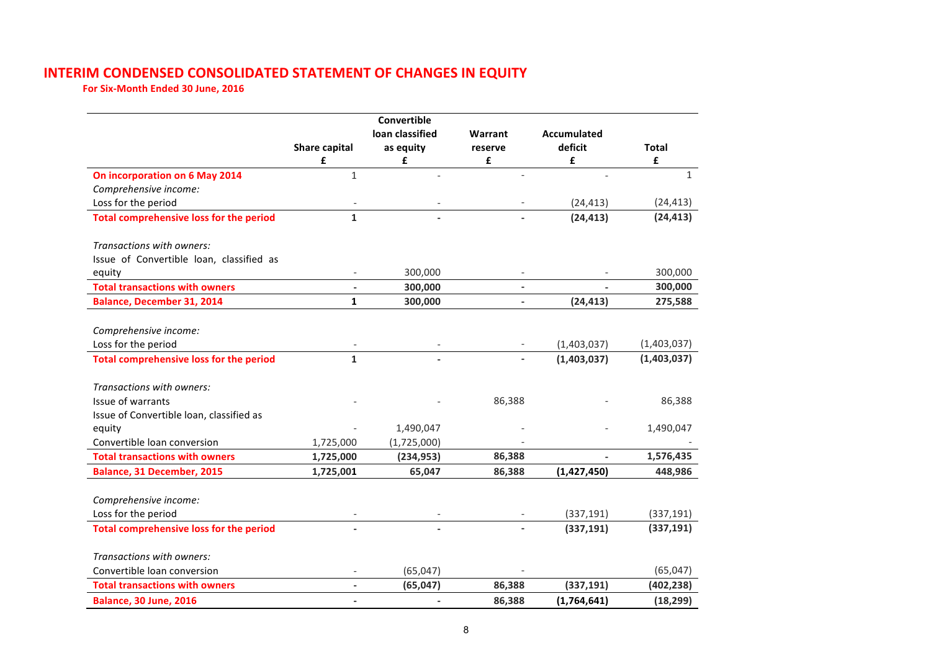# **INTERIM CONDENSED CONSOLIDATED STATEMENT OF CHANGES IN EQUITY**

For Six-Month Ended 30 June, 2016

|                                                |                          | Convertible<br>loan classified | Warrant                  | <b>Accumulated</b> |              |
|------------------------------------------------|--------------------------|--------------------------------|--------------------------|--------------------|--------------|
|                                                | <b>Share capital</b>     | as equity                      | reserve                  | deficit            | <b>Total</b> |
|                                                | £                        | £                              | £                        | £                  | £            |
| On incorporation on 6 May 2014                 | $\mathbf{1}$             |                                |                          |                    | $\mathbf{1}$ |
| Comprehensive income:                          |                          |                                |                          |                    |              |
| Loss for the period                            |                          |                                |                          | (24, 413)          | (24, 413)    |
| <b>Total comprehensive loss for the period</b> | $\mathbf{1}$             |                                |                          | (24, 413)          | (24, 413)    |
| Transactions with owners:                      |                          |                                |                          |                    |              |
| Issue of Convertible Ioan, classified as       |                          |                                |                          |                    |              |
| equity                                         | $\overline{\phantom{a}}$ | 300,000                        | $\overline{\phantom{a}}$ |                    | 300,000      |
| <b>Total transactions with owners</b>          |                          | 300,000                        | $\overline{\phantom{a}}$ |                    | 300,000      |
| <b>Balance, December 31, 2014</b>              | $\mathbf{1}$             | 300,000                        | $\overline{\phantom{0}}$ | (24, 413)          | 275,588      |
|                                                |                          |                                |                          |                    |              |
| Comprehensive income:                          |                          |                                |                          |                    |              |
| Loss for the period                            |                          |                                |                          | (1,403,037)        | (1,403,037)  |
| <b>Total comprehensive loss for the period</b> | $\mathbf{1}$             |                                | $\overline{\phantom{0}}$ | (1,403,037)        | (1,403,037)  |
| Transactions with owners:                      |                          |                                |                          |                    |              |
| Issue of warrants                              |                          |                                | 86,388                   |                    | 86,388       |
| Issue of Convertible Ioan, classified as       |                          |                                |                          |                    |              |
| equity                                         |                          | 1,490,047                      |                          |                    | 1,490,047    |
| Convertible loan conversion                    | 1,725,000                | (1,725,000)                    |                          |                    |              |
| <b>Total transactions with owners</b>          | 1,725,000                | (234, 953)                     | 86,388                   |                    | 1,576,435    |
| <b>Balance, 31 December, 2015</b>              | 1,725,001                | 65,047                         | 86,388                   | (1,427,450)        | 448,986      |
|                                                |                          |                                |                          |                    |              |
| Comprehensive income:                          |                          |                                |                          |                    |              |
| Loss for the period                            |                          |                                |                          | (337, 191)         | (337, 191)   |
| <b>Total comprehensive loss for the period</b> |                          |                                |                          | (337, 191)         | (337, 191)   |
| Transactions with owners:                      |                          |                                |                          |                    |              |
| Convertible loan conversion                    |                          | (65, 047)                      |                          |                    | (65, 047)    |
| <b>Total transactions with owners</b>          | $\overline{\phantom{0}}$ | (65, 047)                      | 86,388                   | (337, 191)         | (402, 238)   |
| <b>Balance, 30 June, 2016</b>                  | $\blacksquare$           | $\overline{\phantom{a}}$       | 86,388                   | (1,764,641)        | (18, 299)    |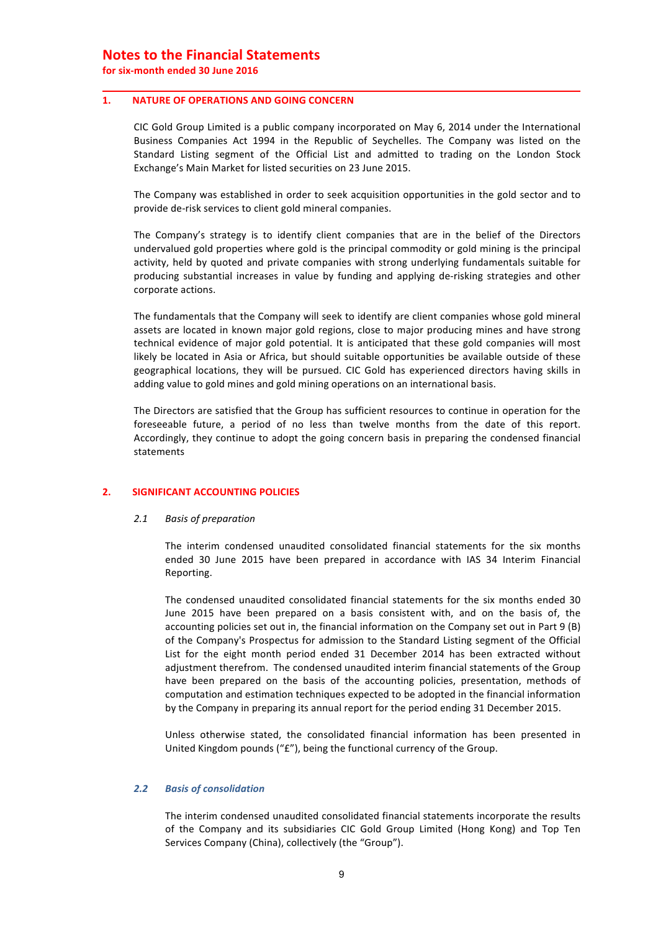## **Notes to the Financial Statements**

**for six-month ended 30 June 2016**

#### 1. NATURE OF OPERATIONS AND GOING CONCERN

CIC Gold Group Limited is a public company incorporated on May 6, 2014 under the International Business Companies Act 1994 in the Republic of Seychelles. The Company was listed on the Standard Listing segment of the Official List and admitted to trading on the London Stock Exchange's Main Market for listed securities on 23 June 2015.

The Company was established in order to seek acquisition opportunities in the gold sector and to provide de-risk services to client gold mineral companies.

The Company's strategy is to identify client companies that are in the belief of the Directors undervalued gold properties where gold is the principal commodity or gold mining is the principal activity, held by quoted and private companies with strong underlying fundamentals suitable for producing substantial increases in value by funding and applying de-risking strategies and other corporate actions.

The fundamentals that the Company will seek to identify are client companies whose gold mineral assets are located in known major gold regions, close to major producing mines and have strong technical evidence of major gold potential. It is anticipated that these gold companies will most likely be located in Asia or Africa, but should suitable opportunities be available outside of these geographical locations, they will be pursued. CIC Gold has experienced directors having skills in adding value to gold mines and gold mining operations on an international basis.

The Directors are satisfied that the Group has sufficient resources to continue in operation for the foreseeable future, a period of no less than twelve months from the date of this report. Accordingly, they continue to adopt the going concern basis in preparing the condensed financial statements

## **2. SIGNIFICANT ACCOUNTING POLICIES**

#### 2.1 *Basis of preparation*

The interim condensed unaudited consolidated financial statements for the six months ended 30 June 2015 have been prepared in accordance with IAS 34 Interim Financial Reporting.

The condensed unaudited consolidated financial statements for the six months ended 30 June 2015 have been prepared on a basis consistent with, and on the basis of, the accounting policies set out in, the financial information on the Company set out in Part 9 (B) of the Company's Prospectus for admission to the Standard Listing segment of the Official List for the eight month period ended 31 December 2014 has been extracted without adjustment therefrom. The condensed unaudited interim financial statements of the Group have been prepared on the basis of the accounting policies, presentation, methods of computation and estimation techniques expected to be adopted in the financial information by the Company in preparing its annual report for the period ending 31 December 2015.

Unless otherwise stated, the consolidated financial information has been presented in United Kingdom pounds (" $E$ "), being the functional currency of the Group.

#### *2.2 Basis of consolidation*

The interim condensed unaudited consolidated financial statements incorporate the results of the Company and its subsidiaries CIC Gold Group Limited (Hong Kong) and Top Ten Services Company (China), collectively (the "Group").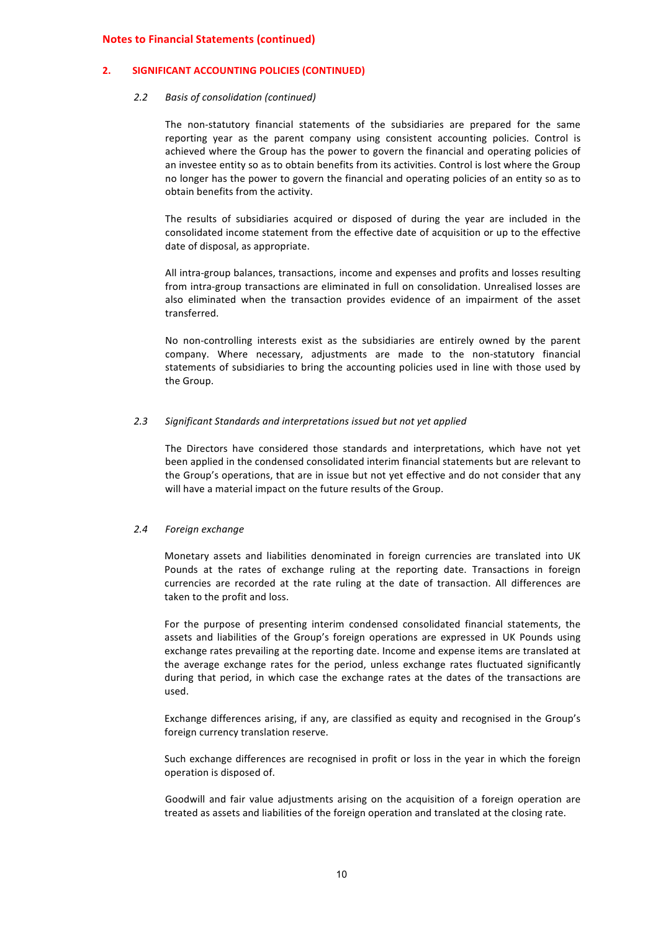### **2. SIGNIFICANT ACCOUNTING POLICIES (CONTINUED)**

#### *2.2 Basis of consolidation (continued)*

The non-statutory financial statements of the subsidiaries are prepared for the same reporting year as the parent company using consistent accounting policies. Control is achieved where the Group has the power to govern the financial and operating policies of an investee entity so as to obtain benefits from its activities. Control is lost where the Group no longer has the power to govern the financial and operating policies of an entity so as to obtain benefits from the activity.

The results of subsidiaries acquired or disposed of during the year are included in the consolidated income statement from the effective date of acquisition or up to the effective date of disposal, as appropriate.

All intra-group balances, transactions, income and expenses and profits and losses resulting from intra-group transactions are eliminated in full on consolidation. Unrealised losses are also eliminated when the transaction provides evidence of an impairment of the asset transferred.

No non-controlling interests exist as the subsidiaries are entirely owned by the parent company. Where necessary, adjustments are made to the non-statutory financial statements of subsidiaries to bring the accounting policies used in line with those used by the Group.

## 2.3 Significant Standards and interpretations issued but not yet applied

The Directors have considered those standards and interpretations, which have not yet been applied in the condensed consolidated interim financial statements but are relevant to the Group's operations, that are in issue but not yet effective and do not consider that any will have a material impact on the future results of the Group.

#### *2.4 Foreign exchange*

Monetary assets and liabilities denominated in foreign currencies are translated into UK Pounds at the rates of exchange ruling at the reporting date. Transactions in foreign currencies are recorded at the rate ruling at the date of transaction. All differences are taken to the profit and loss.

For the purpose of presenting interim condensed consolidated financial statements, the assets and liabilities of the Group's foreign operations are expressed in UK Pounds using exchange rates prevailing at the reporting date. Income and expense items are translated at the average exchange rates for the period, unless exchange rates fluctuated significantly during that period, in which case the exchange rates at the dates of the transactions are used.

Exchange differences arising, if any, are classified as equity and recognised in the Group's foreign currency translation reserve.

Such exchange differences are recognised in profit or loss in the year in which the foreign operation is disposed of.

Goodwill and fair value adjustments arising on the acquisition of a foreign operation are treated as assets and liabilities of the foreign operation and translated at the closing rate.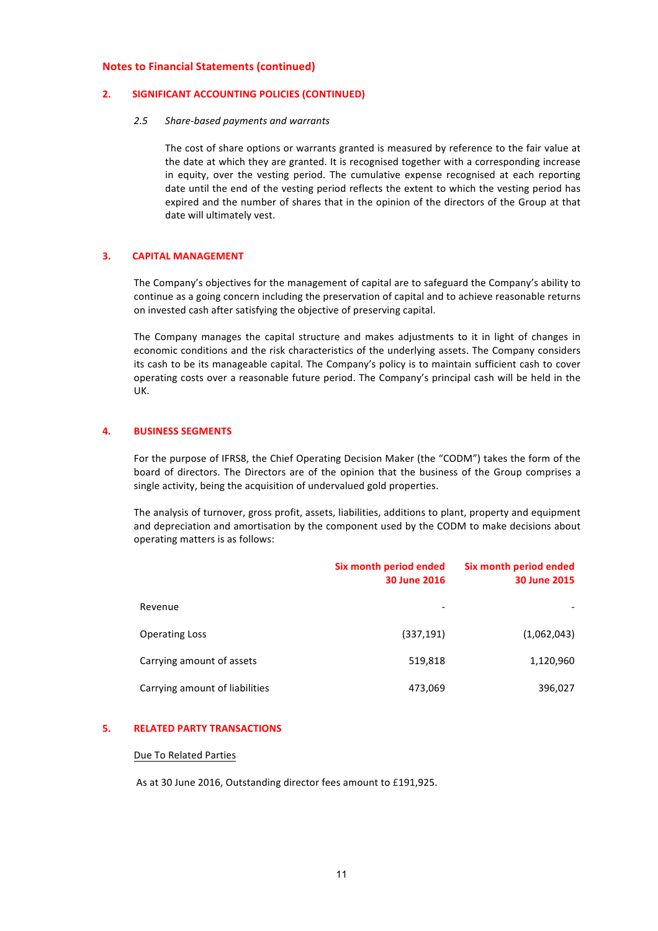### **2. SIGNIFICANT ACCOUNTING POLICIES (CONTINUED)**

#### *2.5 Share-based payments and warrants*

The cost of share options or warrants granted is measured by reference to the fair value at the date at which they are granted. It is recognised together with a corresponding increase in equity, over the vesting period. The cumulative expense recognised at each reporting date until the end of the vesting period reflects the extent to which the vesting period has expired and the number of shares that in the opinion of the directors of the Group at that date will ultimately vest.

### **3. CAPITAL MANAGEMENT**

The Company's objectives for the management of capital are to safeguard the Company's ability to continue as a going concern including the preservation of capital and to achieve reasonable returns on invested cash after satisfying the objective of preserving capital.

The Company manages the capital structure and makes adjustments to it in light of changes in economic conditions and the risk characteristics of the underlying assets. The Company considers its cash to be its manageable capital. The Company's policy is to maintain sufficient cash to cover operating costs over a reasonable future period. The Company's principal cash will be held in the UK.

#### **4. BUSINESS SEGMENTS**

For the purpose of IFRS8, the Chief Operating Decision Maker (the "CODM") takes the form of the board of directors. The Directors are of the opinion that the business of the Group comprises a single activity, being the acquisition of undervalued gold properties.

The analysis of turnover, gross profit, assets, liabilities, additions to plant, property and equipment and depreciation and amortisation by the component used by the CODM to make decisions about operating matters is as follows:

|                                | Six month period ended<br><b>30 June 2016</b> | Six month period ended<br><b>30 June 2015</b> |
|--------------------------------|-----------------------------------------------|-----------------------------------------------|
| Revenue                        |                                               |                                               |
| <b>Operating Loss</b>          | (337, 191)                                    | (1,062,043)                                   |
| Carrying amount of assets      | 519,818                                       | 1,120,960                                     |
| Carrying amount of liabilities | 473,069                                       | 396,027                                       |

#### **5. RELATED PARTY TRANSACTIONS**

#### Due To Related Parties

As at 30 June 2016, Outstanding director fees amount to £191,925.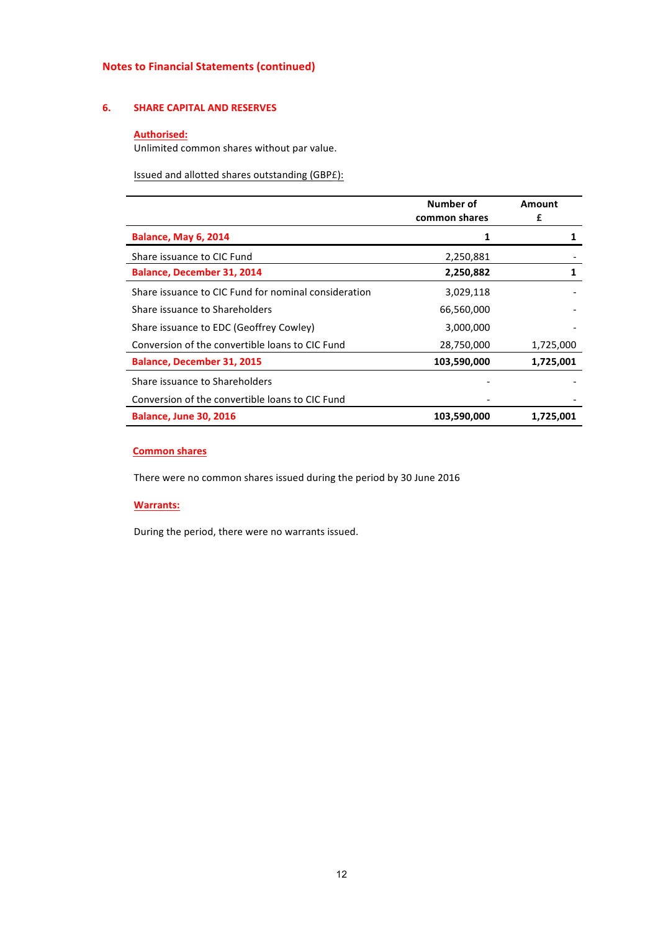## **6. SHARE CAPITAL AND RESERVES**

## **Authorised:**

Unlimited common shares without par value.

Issued and allotted shares outstanding (GBPE):

|                                                      | Number of<br>common shares | Amount<br>£ |
|------------------------------------------------------|----------------------------|-------------|
| <b>Balance, May 6, 2014</b>                          | 1                          |             |
| Share issuance to CIC Fund                           | 2,250,881                  |             |
| <b>Balance, December 31, 2014</b>                    | 2,250,882                  |             |
| Share issuance to CIC Fund for nominal consideration | 3,029,118                  |             |
| Share issuance to Shareholders                       | 66,560,000                 |             |
| Share issuance to EDC (Geoffrey Cowley)              | 3,000,000                  |             |
| Conversion of the convertible loans to CIC Fund      | 28,750,000                 | 1,725,000   |
| <b>Balance, December 31, 2015</b>                    | 103,590,000                | 1,725,001   |
| Share issuance to Shareholders                       |                            |             |
| Conversion of the convertible loans to CIC Fund      |                            |             |
| <b>Balance, June 30, 2016</b>                        | 103,590,000                | 1,725,001   |

## **Common shares**

There were no common shares issued during the period by 30 June 2016

#### **Warrants:**

During the period, there were no warrants issued.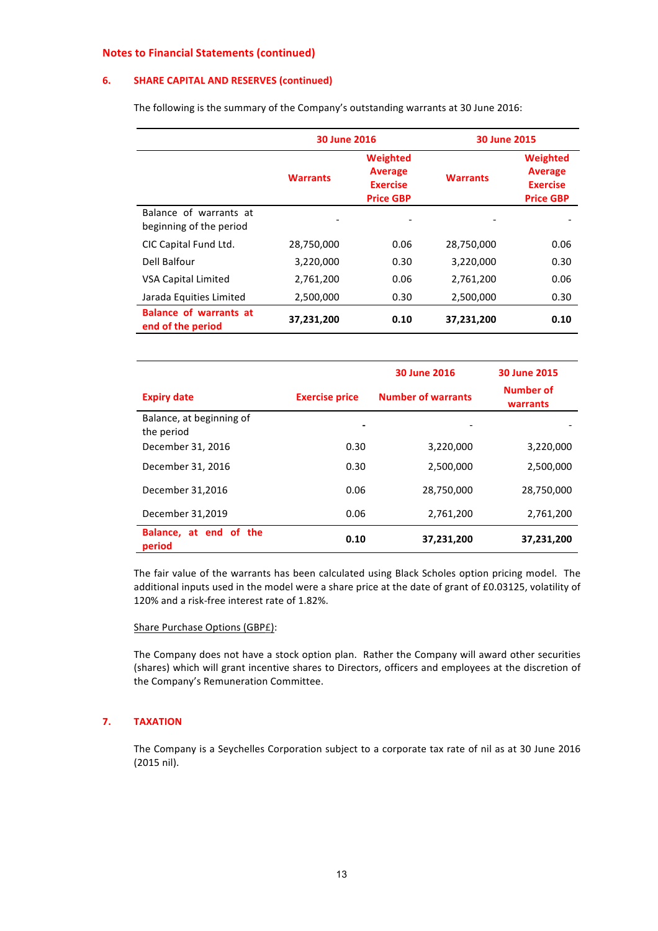## **6.** SHARE CAPITAL AND RESERVES (continued)

The following is the summary of the Company's outstanding warrants at 30 June 2016:

|                                                    | 30 June 2016    |                                                                   | 30 June 2015    |                                                                   |
|----------------------------------------------------|-----------------|-------------------------------------------------------------------|-----------------|-------------------------------------------------------------------|
|                                                    | <b>Warrants</b> | Weighted<br><b>Average</b><br><b>Exercise</b><br><b>Price GBP</b> | <b>Warrants</b> | Weighted<br><b>Average</b><br><b>Exercise</b><br><b>Price GBP</b> |
| Balance of warrants at<br>beginning of the period  |                 |                                                                   |                 |                                                                   |
| CIC Capital Fund Ltd.                              | 28,750,000      | 0.06                                                              | 28,750,000      | 0.06                                                              |
| Dell Balfour                                       | 3,220,000       | 0.30                                                              | 3,220,000       | 0.30                                                              |
| <b>VSA Capital Limited</b>                         | 2,761,200       | 0.06                                                              | 2,761,200       | 0.06                                                              |
| Jarada Equities Limited                            | 2,500,000       | 0.30                                                              | 2,500,000       | 0.30                                                              |
| <b>Balance of warrants at</b><br>end of the period | 37,231,200      | 0.10                                                              | 37,231,200      | 0.10                                                              |

|                                        |                       | 30 June 2016              | 30 June 2015          |
|----------------------------------------|-----------------------|---------------------------|-----------------------|
| <b>Expiry date</b>                     | <b>Exercise price</b> | <b>Number of warrants</b> | Number of<br>warrants |
| Balance, at beginning of<br>the period |                       |                           |                       |
| December 31, 2016                      | 0.30                  | 3,220,000                 | 3,220,000             |
| December 31, 2016                      | 0.30                  | 2,500,000                 | 2,500,000             |
| December 31,2016                       | 0.06                  | 28,750,000                | 28,750,000            |
| December 31,2019                       | 0.06                  | 2,761,200                 | 2,761,200             |
| Balance, at end of the<br>period       | 0.10                  | 37,231,200                | 37,231,200            |

The fair value of the warrants has been calculated using Black Scholes option pricing model. The additional inputs used in the model were a share price at the date of grant of £0.03125, volatility of 120% and a risk-free interest rate of 1.82%.

## Share Purchase Options (GBPE):

The Company does not have a stock option plan. Rather the Company will award other securities (shares) which will grant incentive shares to Directors, officers and employees at the discretion of the Company's Remuneration Committee.

## **7. TAXATION**

The Company is a Seychelles Corporation subject to a corporate tax rate of nil as at 30 June 2016 (2015 nil).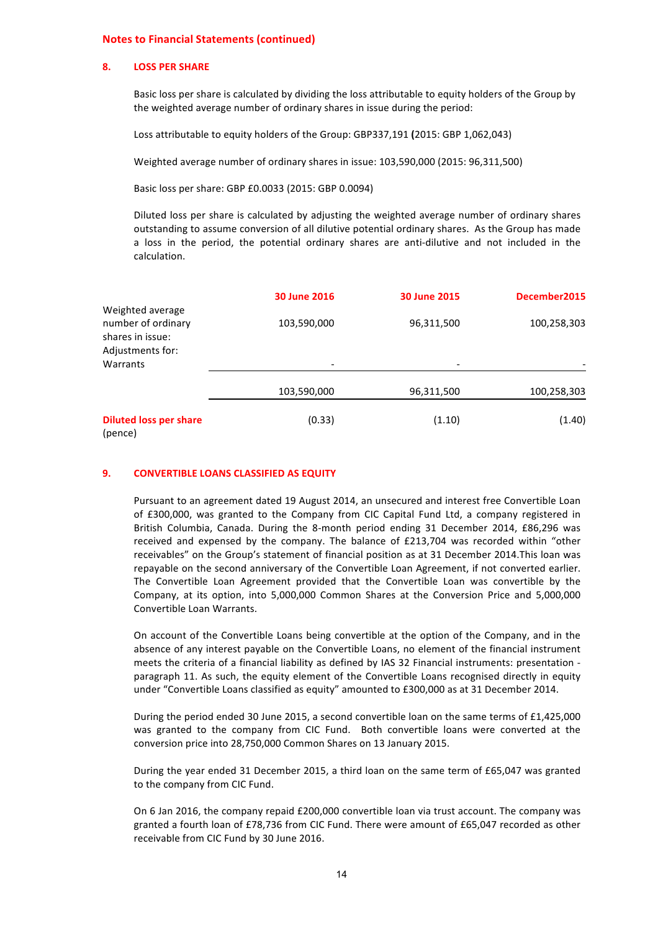#### **8. LOSS PER SHARE**

Basic loss per share is calculated by dividing the loss attributable to equity holders of the Group by the weighted average number of ordinary shares in issue during the period:

Loss attributable to equity holders of the Group: GBP337,191 (2015: GBP 1,062,043)

Weighted average number of ordinary shares in issue: 103,590,000 (2015: 96,311,500)

Basic loss per share: GBP £0.0033 (2015: GBP 0.0094)

Diluted loss per share is calculated by adjusting the weighted average number of ordinary shares outstanding to assume conversion of all dilutive potential ordinary shares. As the Group has made a loss in the period, the potential ordinary shares are anti-dilutive and not included in the calculation. 

|                                                                                | <b>30 June 2016</b>      | <b>30 June 2015</b> | December2015 |
|--------------------------------------------------------------------------------|--------------------------|---------------------|--------------|
| Weighted average<br>number of ordinary<br>shares in issue:<br>Adjustments for: | 103,590,000              | 96,311,500          | 100,258,303  |
| Warrants                                                                       | $\overline{\phantom{0}}$ |                     |              |
|                                                                                | 103,590,000              | 96,311,500          | 100,258,303  |
| <b>Diluted loss per share</b><br>(pence)                                       | (0.33)                   | (1.10)              | (1.40)       |

#### **9. CONVERTIBLE LOANS CLASSIFIED AS EQUITY**

Pursuant to an agreement dated 19 August 2014, an unsecured and interest free Convertible Loan of £300,000, was granted to the Company from CIC Capital Fund Ltd, a company registered in British Columbia, Canada. During the 8-month period ending 31 December 2014, £86,296 was received and expensed by the company. The balance of £213,704 was recorded within "other receivables" on the Group's statement of financial position as at 31 December 2014.This loan was repayable on the second anniversary of the Convertible Loan Agreement, if not converted earlier. The Convertible Loan Agreement provided that the Convertible Loan was convertible by the Company, at its option, into 5,000,000 Common Shares at the Conversion Price and 5,000,000 Convertible Loan Warrants.

On account of the Convertible Loans being convertible at the option of the Company, and in the absence of any interest payable on the Convertible Loans, no element of the financial instrument meets the criteria of a financial liability as defined by IAS 32 Financial instruments: presentation paragraph 11. As such, the equity element of the Convertible Loans recognised directly in equity under "Convertible Loans classified as equity" amounted to £300,000 as at 31 December 2014.

During the period ended 30 June 2015, a second convertible loan on the same terms of £1,425,000 was granted to the company from CIC Fund. Both convertible loans were converted at the conversion price into 28,750,000 Common Shares on 13 January 2015.

During the year ended 31 December 2015, a third loan on the same term of £65,047 was granted to the company from CIC Fund.

On 6 Jan 2016, the company repaid £200,000 convertible loan via trust account. The company was granted a fourth loan of £78,736 from CIC Fund. There were amount of £65,047 recorded as other receivable from CIC Fund by 30 June 2016.